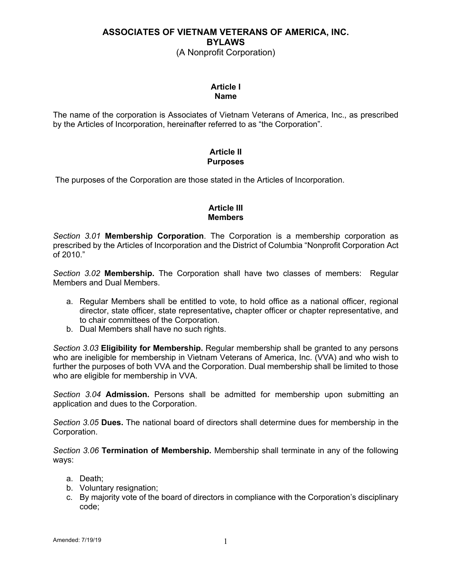(A Nonprofit Corporation)

#### **Article I Name**

The name of the corporation is Associates of Vietnam Veterans of America, Inc., as prescribed by the Articles of Incorporation, hereinafter referred to as "the Corporation".

## **Article II Purposes**

The purposes of the Corporation are those stated in the Articles of Incorporation.

# **Article III Members**

*Section 3.01* **Membership Corporation**. The Corporation is a membership corporation as prescribed by the Articles of Incorporation and the District of Columbia "Nonprofit Corporation Act of 2010."

*Section 3.02* **Membership.** The Corporation shall have two classes of members: Regular Members and Dual Members.

- a. Regular Members shall be entitled to vote, to hold office as a national officer, regional director, state officer, state representative**,** chapter officer or chapter representative, and to chair committees of the Corporation.
- b. Dual Members shall have no such rights.

*Section 3.03* **Eligibility for Membership.** Regular membership shall be granted to any persons who are ineligible for membership in Vietnam Veterans of America, Inc. (VVA) and who wish to further the purposes of both VVA and the Corporation. Dual membership shall be limited to those who are eligible for membership in VVA.

*Section 3.04* **Admission.** Persons shall be admitted for membership upon submitting an application and dues to the Corporation.

*Section 3.05* **Dues.** The national board of directors shall determine dues for membership in the Corporation.

*Section 3.06* **Termination of Membership.** Membership shall terminate in any of the following ways:

- a. Death;
- b. Voluntary resignation;
- c. By majority vote of the board of directors in compliance with the Corporation's disciplinary code;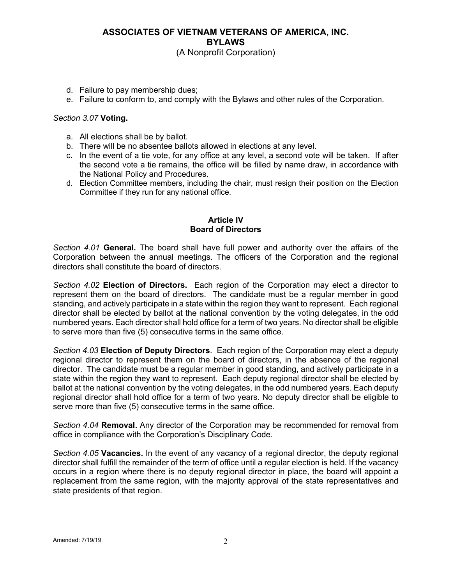(A Nonprofit Corporation)

- d. Failure to pay membership dues;
- e. Failure to conform to, and comply with the Bylaws and other rules of the Corporation.

### *Section 3.07* **Voting.**

- a. All elections shall be by ballot.
- b. There will be no absentee ballots allowed in elections at any level.
- c. In the event of a tie vote, for any office at any level, a second vote will be taken. If after the second vote a tie remains, the office will be filled by name draw, in accordance with the National Policy and Procedures.
- d. Election Committee members, including the chair, must resign their position on the Election Committee if they run for any national office.

## **Article IV Board of Directors**

*Section 4.01* **General.** The board shall have full power and authority over the affairs of the Corporation between the annual meetings. The officers of the Corporation and the regional directors shall constitute the board of directors.

*Section 4.02* **Election of Directors.** Each region of the Corporation may elect a director to represent them on the board of directors. The candidate must be a regular member in good standing, and actively participate in a state within the region they want to represent. Each regional director shall be elected by ballot at the national convention by the voting delegates, in the odd numbered years. Each director shall hold office for a term of two years. No director shall be eligible to serve more than five (5) consecutive terms in the same office.

*Section 4.03* **Election of Deputy Directors**. Each region of the Corporation may elect a deputy regional director to represent them on the board of directors, in the absence of the regional director. The candidate must be a regular member in good standing, and actively participate in a state within the region they want to represent. Each deputy regional director shall be elected by ballot at the national convention by the voting delegates, in the odd numbered years. Each deputy regional director shall hold office for a term of two years. No deputy director shall be eligible to serve more than five (5) consecutive terms in the same office.

*Section 4.04* **Removal.** Any director of the Corporation may be recommended for removal from office in compliance with the Corporation's Disciplinary Code.

*Section 4.05* **Vacancies.** In the event of any vacancy of a regional director, the deputy regional director shall fulfill the remainder of the term of office until a regular election is held. If the vacancy occurs in a region where there is no deputy regional director in place, the board will appoint a replacement from the same region, with the majority approval of the state representatives and state presidents of that region.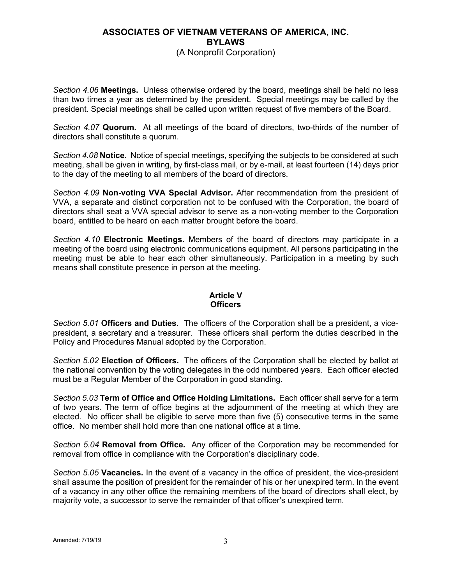(A Nonprofit Corporation)

*Section 4.06* **Meetings.** Unless otherwise ordered by the board, meetings shall be held no less than two times a year as determined by the president. Special meetings may be called by the president. Special meetings shall be called upon written request of five members of the Board.

*Section 4.07* **Quorum.** At all meetings of the board of directors, two-thirds of the number of directors shall constitute a quorum.

*Section 4.08* **Notice.** Notice of special meetings, specifying the subjects to be considered at such meeting, shall be given in writing, by first-class mail, or by e-mail, at least fourteen (14) days prior to the day of the meeting to all members of the board of directors.

*Section 4.09* **Non-voting VVA Special Advisor.** After recommendation from the president of VVA, a separate and distinct corporation not to be confused with the Corporation, the board of directors shall seat a VVA special advisor to serve as a non-voting member to the Corporation board, entitled to be heard on each matter brought before the board.

*Section 4.10* **Electronic Meetings.** Members of the board of directors may participate in a meeting of the board using electronic communications equipment. All persons participating in the meeting must be able to hear each other simultaneously. Participation in a meeting by such means shall constitute presence in person at the meeting.

# **Article V Officers**

*Section 5.01* **Officers and Duties.** The officers of the Corporation shall be a president, a vicepresident, a secretary and a treasurer. These officers shall perform the duties described in the Policy and Procedures Manual adopted by the Corporation.

*Section 5.02* **Election of Officers.** The officers of the Corporation shall be elected by ballot at the national convention by the voting delegates in the odd numbered years. Each officer elected must be a Regular Member of the Corporation in good standing.

*Section 5.03* **Term of Office and Office Holding Limitations.** Each officer shall serve for a term of two years. The term of office begins at the adjournment of the meeting at which they are elected. No officer shall be eligible to serve more than five (5) consecutive terms in the same office. No member shall hold more than one national office at a time.

*Section 5.04* **Removal from Office.** Any officer of the Corporation may be recommended for removal from office in compliance with the Corporation's disciplinary code.

*Section 5.05* **Vacancies.** In the event of a vacancy in the office of president, the vice-president shall assume the position of president for the remainder of his or her unexpired term. In the event of a vacancy in any other office the remaining members of the board of directors shall elect, by majority vote, a successor to serve the remainder of that officer's unexpired term.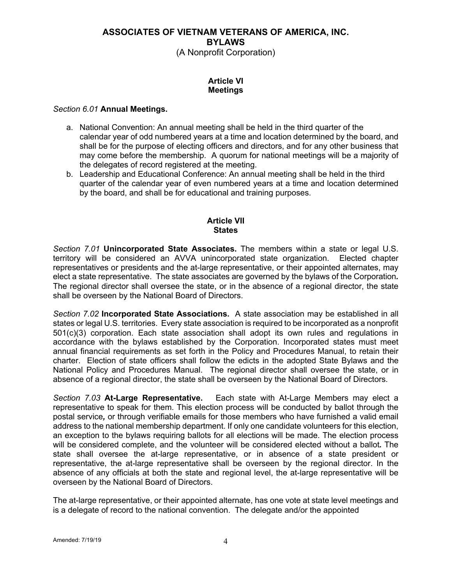(A Nonprofit Corporation)

# **Article VI Meetings**

#### *Section 6.01* **Annual Meetings.**

- a. National Convention: An annual meeting shall be held in the third quarter of the calendar year of odd numbered years at a time and location determined by the board, and shall be for the purpose of electing officers and directors, and for any other business that may come before the membership. A quorum for national meetings will be a majority of the delegates of record registered at the meeting.
- b. Leadership and Educational Conference: An annual meeting shall be held in the third quarter of the calendar year of even numbered years at a time and location determined by the board, and shall be for educational and training purposes.

## **Article VII States**

*Section 7.01* **Unincorporated State Associates.** The members within a state or legal U.S. territory will be considered an AVVA unincorporated state organization. Elected chapter representatives or presidents and the at-large representative, or their appointed alternates, may elect a state representative. The state associates are governed by the bylaws of the Corporation*.*  The regional director shall oversee the state, or in the absence of a regional director, the state shall be overseen by the National Board of Directors.

*Section 7.02* **Incorporated State Associations.** A state association may be established in all states or legal U.S. territories. Every state association is required to be incorporated as a nonprofit 501(c)(3) corporation. Each state association shall adopt its own rules and regulations in accordance with the bylaws established by the Corporation. Incorporated states must meet annual financial requirements as set forth in the Policy and Procedures Manual, to retain their charter. Election of state officers shall follow the edicts in the adopted State Bylaws and the National Policy and Procedures Manual. The regional director shall oversee the state, or in absence of a regional director, the state shall be overseen by the National Board of Directors.

*Section 7.03* **At-Large Representative.** Each state with At-Large Members may elect a representative to speak for them. This election process will be conducted by ballot through the postal service*,* or through verifiable emails for those members who have furnished a valid email address to the national membership department. If only one candidate volunteers for this election, an exception to the bylaws requiring ballots for all elections will be made. The election process will be considered complete, and the volunteer will be considered elected without a ballot*.* The state shall oversee the at-large representative, or in absence of a state president or representative, the at-large representative shall be overseen by the regional director. In the absence of any officials at both the state and regional level, the at-large representative will be overseen by the National Board of Directors.

The at-large representative, or their appointed alternate, has one vote at state level meetings and is a delegate of record to the national convention. The delegate and/or the appointed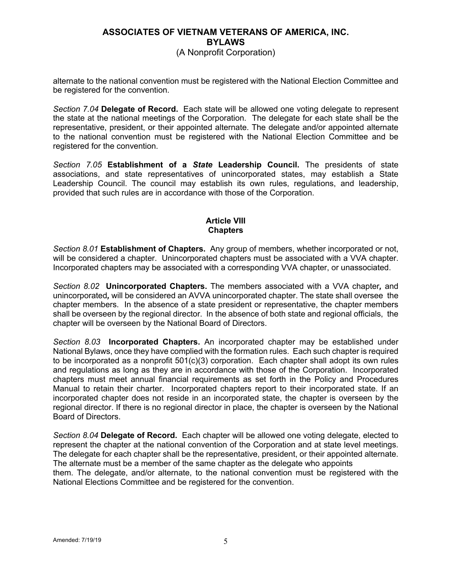# (A Nonprofit Corporation)

alternate to the national convention must be registered with the National Election Committee and be registered for the convention.

*Section 7.04* **Delegate of Record.** Each state will be allowed one voting delegate to represent the state at the national meetings of the Corporation. The delegate for each state shall be the representative, president, or their appointed alternate. The delegate and/or appointed alternate to the national convention must be registered with the National Election Committee and be registered for the convention.

*Section 7.05* **Establishment of a** *State* **Leadership Council.** The presidents of state associations, and state representatives of unincorporated states, may establish a State Leadership Council. The council may establish its own rules, regulations, and leadership, provided that such rules are in accordance with those of the Corporation.

# **Article VIII Chapters**

*Section 8.01* **Establishment of Chapters.** Any group of members, whether incorporated or not, will be considered a chapter. Unincorporated chapters must be associated with a VVA chapter. Incorporated chapters may be associated with a corresponding VVA chapter, or unassociated.

*Section 8.02* **Unincorporated Chapters.** The members associated with a VVA chapter*,* and unincorporated*,* will be considered an AVVA unincorporated chapter. The state shall oversee the chapter members. In the absence of a state president or representative, the chapter members shall be overseen by the regional director. In the absence of both state and regional officials, the chapter will be overseen by the National Board of Directors.

*Section 8.03* **Incorporated Chapters.** An incorporated chapter may be established under National Bylaws, once they have complied with the formation rules. Each such chapter is required to be incorporated as a nonprofit 501(c)(3) corporation. Each chapter shall adopt its own rules and regulations as long as they are in accordance with those of the Corporation. Incorporated chapters must meet annual financial requirements as set forth in the Policy and Procedures Manual to retain their charter. Incorporated chapters report to their incorporated state. If an incorporated chapter does not reside in an incorporated state, the chapter is overseen by the regional director. If there is no regional director in place, the chapter is overseen by the National Board of Directors.

*Section 8.04* **Delegate of Record.** Each chapter will be allowed one voting delegate, elected to represent the chapter at the national convention of the Corporation and at state level meetings. The delegate for each chapter shall be the representative, president, or their appointed alternate. The alternate must be a member of the same chapter as the delegate who appoints them. The delegate, and/or alternate, to the national convention must be registered with the National Elections Committee and be registered for the convention.